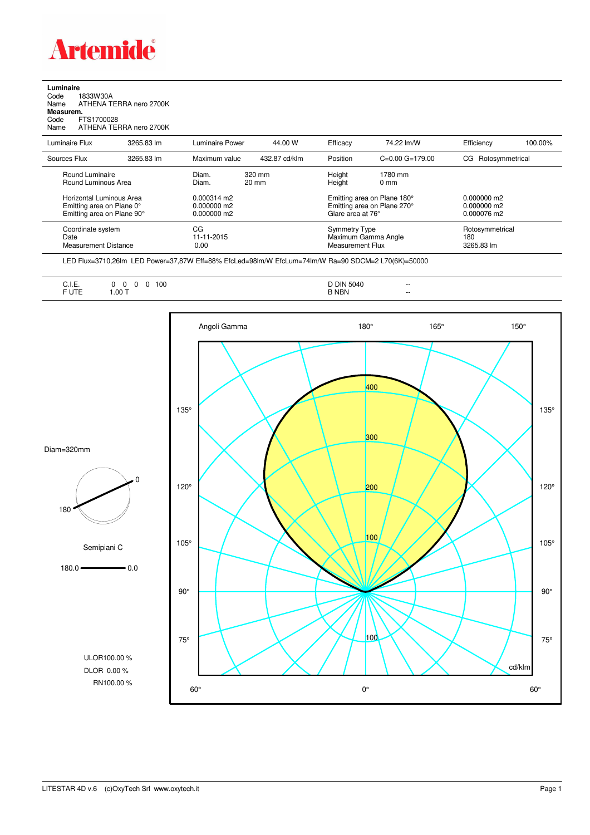

## **Luminaire**<br>Code 1<br>Name *P* Code 1833W30A Name ATHENA TERRA nero 2700K **Measurem.** Code FTS1700028<br>Name ATHENA TEI ATHENA TERRA nero 2700K

| Luminaire Flux                                                                      | 3265.83 lm | <b>Luminaire Power</b>                          | 44.00 W                   | Efficacy                                                                        | 74.22 lm/W                                               | Efficiency                                    | 100.00%         |
|-------------------------------------------------------------------------------------|------------|-------------------------------------------------|---------------------------|---------------------------------------------------------------------------------|----------------------------------------------------------|-----------------------------------------------|-----------------|
| Sources Flux                                                                        | 3265.83 lm | Maximum value                                   | 432.87 cd/klm             | Position                                                                        | $C=0.00$ $G=179.00$                                      | Rotosymmetrical<br>CG.                        |                 |
| Round Luminaire<br>Round Luminous Area                                              |            | Diam.<br>Diam.                                  | 320 mm<br>$20 \text{ mm}$ | Height<br>Height                                                                | 1780 mm<br>$0 \text{ mm}$                                |                                               |                 |
| Horizontal Luminous Area<br>Emitting area on Plane 0°<br>Emitting area on Plane 90° |            | $0.000314$ m2<br>$0.000000$ m2<br>$0.000000$ m2 |                           | Emitting area on Plane 180°<br>Emitting area on Plane 270°<br>Glare area at 76° |                                                          | $0.000000$ m2<br>$0.000000$ m2<br>0.000076 m2 |                 |
| Coordinate system<br>Date<br>Measurement Distance                                   |            | CG<br>11-11-2015<br>0.00                        |                           |                                                                                 | Symmetry Type<br>Maximum Gamma Angle<br>Measurement Flux |                                               | Rotosymmetrical |

LED Flux=3710,26lm LED Power=37,87W Eff=88% EfcLed=98lm/W EfcLum=74lm/W Ra=90 SDCM=2 L70(6K)=50000